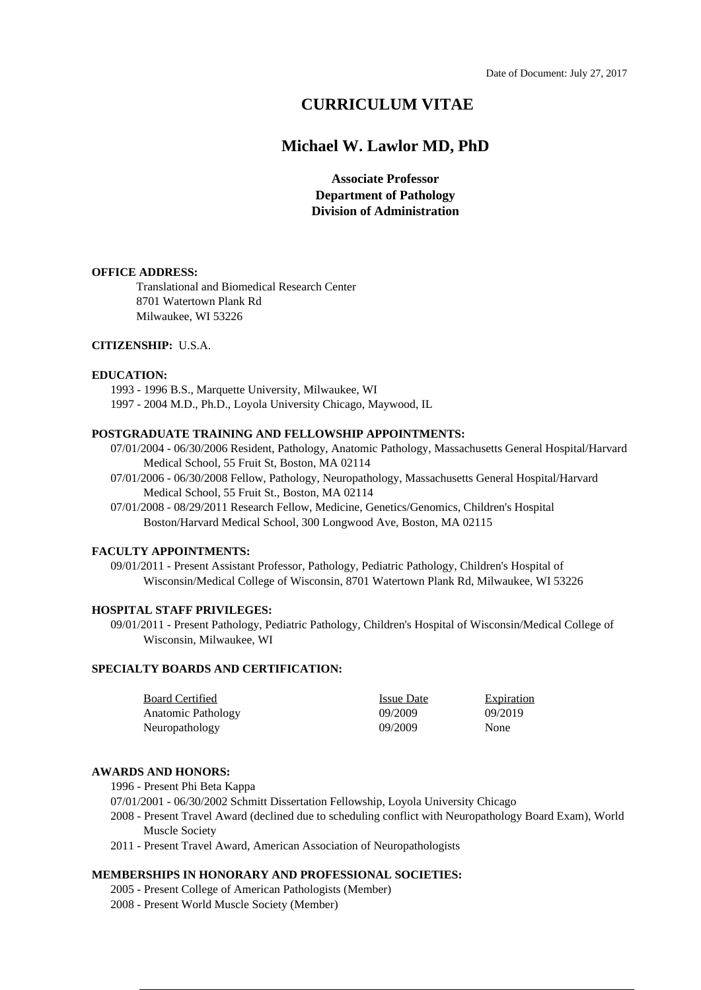# **CURRICULUM VITAE**

# **Michael W. Lawlor MD, PhD**

**Associate Professor Department of Pathology Division of Administration**

#### **OFFICE ADDRESS:**

Translational and Biomedical Research Center 8701 Watertown Plank Rd Milwaukee, WI 53226

#### **CITIZENSHIP:** U.S.A.

#### **EDUCATION:**

1993 - 1996 B.S., Marquette University, Milwaukee, WI 1997 - 2004 M.D., Ph.D., Loyola University Chicago, Maywood, IL

#### **POSTGRADUATE TRAINING AND FELLOWSHIP APPOINTMENTS:**

- 07/01/2004 06/30/2006 Resident, Pathology, Anatomic Pathology, Massachusetts General Hospital/Harvard Medical School, 55 Fruit St, Boston, MA 02114
- 07/01/2006 06/30/2008 Fellow, Pathology, Neuropathology, Massachusetts General Hospital/Harvard Medical School, 55 Fruit St., Boston, MA 02114
- 07/01/2008 08/29/2011 Research Fellow, Medicine, Genetics/Genomics, Children's Hospital Boston/Harvard Medical School, 300 Longwood Ave, Boston, MA 02115

#### **FACULTY APPOINTMENTS:**

09/01/2011 - Present Assistant Professor, Pathology, Pediatric Pathology, Children's Hospital of Wisconsin/Medical College of Wisconsin, 8701 Watertown Plank Rd, Milwaukee, WI 53226

#### **HOSPITAL STAFF PRIVILEGES:**

09/01/2011 - Present Pathology, Pediatric Pathology, Children's Hospital of Wisconsin/Medical College of Wisconsin, Milwaukee, WI

## **SPECIALTY BOARDS AND CERTIFICATION:**

| <b>Board Certified</b> | <b>Issue Date</b> | <b>Expiration</b> |
|------------------------|-------------------|-------------------|
| Anatomic Pathology     | 09/2009           | 09/2019           |
| Neuropathology         | 09/2009           | None              |

#### **AWARDS AND HONORS:**

1996 - Present Phi Beta Kappa

- 07/01/2001 06/30/2002 Schmitt Dissertation Fellowship, Loyola University Chicago
- 2008 Present Travel Award (declined due to scheduling conflict with Neuropathology Board Exam), World Muscle Society
- 2011 Present Travel Award, American Association of Neuropathologists

## **MEMBERSHIPS IN HONORARY AND PROFESSIONAL SOCIETIES:**

- 2005 Present College of American Pathologists (Member)
- 2008 Present World Muscle Society (Member)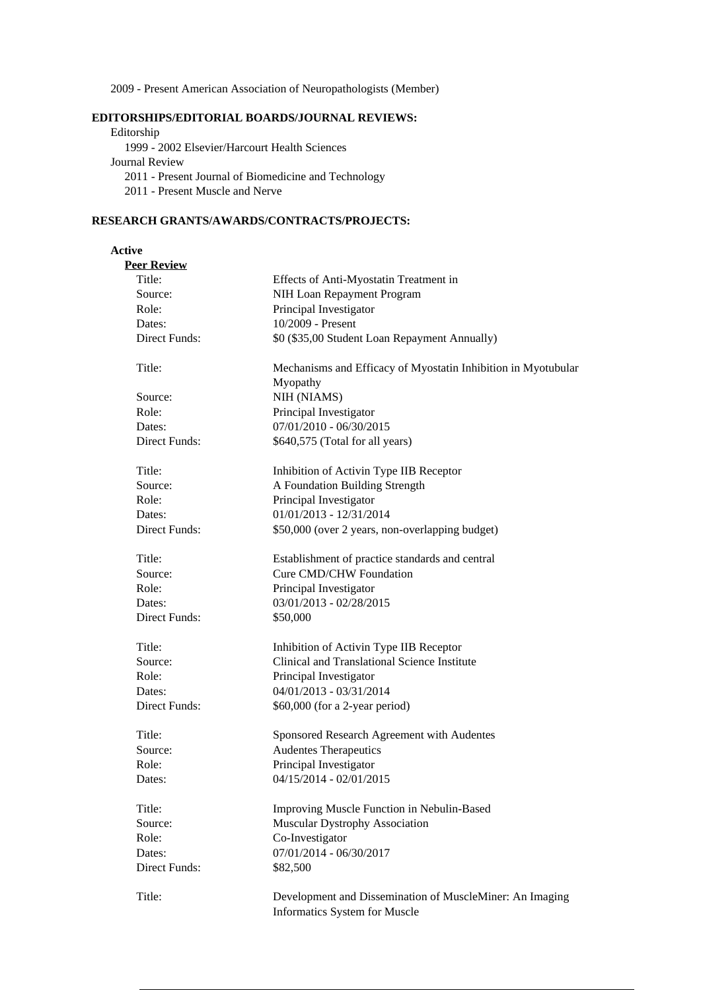2009 - Present American Association of Neuropathologists (Member)

## **EDITORSHIPS/EDITORIAL BOARDS/JOURNAL REVIEWS:**

Editorship 1999 - 2002 Elsevier/Harcourt Health Sciences Journal Review 2011 - Present Journal of Biomedicine and Technology 2011 - Present Muscle and Nerve

### **RESEARCH GRANTS/AWARDS/CONTRACTS/PROJECTS:**

## **Active**

| <b>Peer Review</b> |                                                                                           |
|--------------------|-------------------------------------------------------------------------------------------|
| Title:             | Effects of Anti-Myostatin Treatment in                                                    |
| Source:            | NIH Loan Repayment Program                                                                |
| Role:              | Principal Investigator                                                                    |
| Dates:             | 10/2009 - Present                                                                         |
| Direct Funds:      | \$0 (\$35,00 Student Loan Repayment Annually)                                             |
| Title:             | Mechanisms and Efficacy of Myostatin Inhibition in Myotubular<br>Myopathy                 |
| Source:            | NIH (NIAMS)                                                                               |
| Role:              | Principal Investigator                                                                    |
| Dates:             | 07/01/2010 - 06/30/2015                                                                   |
| Direct Funds:      | \$640,575 (Total for all years)                                                           |
| Title:             | Inhibition of Activin Type IIB Receptor                                                   |
| Source:            | A Foundation Building Strength                                                            |
| Role:              | Principal Investigator                                                                    |
| Dates:             | 01/01/2013 - 12/31/2014                                                                   |
| Direct Funds:      | \$50,000 (over 2 years, non-overlapping budget)                                           |
| Title:             | Establishment of practice standards and central                                           |
| Source:            | Cure CMD/CHW Foundation                                                                   |
| Role:              | Principal Investigator                                                                    |
| Dates:             | 03/01/2013 - 02/28/2015                                                                   |
| Direct Funds:      | \$50,000                                                                                  |
| Title:             | Inhibition of Activin Type IIB Receptor                                                   |
| Source:            | Clinical and Translational Science Institute                                              |
| Role:              | Principal Investigator                                                                    |
| Dates:             | 04/01/2013 - 03/31/2014                                                                   |
| Direct Funds:      | \$60,000 (for a 2-year period)                                                            |
| Title:             | Sponsored Research Agreement with Audentes                                                |
| Source:            | <b>Audentes Therapeutics</b>                                                              |
| Role:              | Principal Investigator                                                                    |
| Dates:             | 04/15/2014 - 02/01/2015                                                                   |
| Title:             | Improving Muscle Function in Nebulin-Based                                                |
| Source:            | <b>Muscular Dystrophy Association</b>                                                     |
| Role:              | Co-Investigator                                                                           |
| Dates:             | 07/01/2014 - 06/30/2017                                                                   |
| Direct Funds:      | \$82,500                                                                                  |
| Title:             | Development and Dissemination of MuscleMiner: An Imaging<br>Informatics System for Muscle |